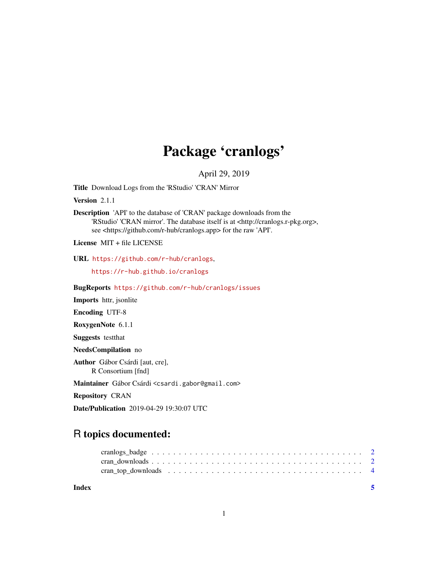## Package 'cranlogs'

April 29, 2019

Title Download Logs from the 'RStudio' 'CRAN' Mirror

Version 2.1.1

Description 'API' to the database of 'CRAN' package downloads from the 'RStudio' 'CRAN mirror'. The database itself is at <http://cranlogs.r-pkg.org>, see <https://github.com/r-hub/cranlogs.app> for the raw 'API'.

License MIT + file LICENSE

URL <https://github.com/r-hub/cranlogs>,

<https://r-hub.github.io/cranlogs>

BugReports <https://github.com/r-hub/cranlogs/issues>

Imports httr, jsonlite

Encoding UTF-8

RoxygenNote 6.1.1

Suggests testthat

NeedsCompilation no

Author Gábor Csárdi [aut, cre], R Consortium [fnd]

Maintainer Gábor Csárdi <csardi.gabor@gmail.com>

Repository CRAN

Date/Publication 2019-04-29 19:30:07 UTC

### R topics documented:

| Index |  |
|-------|--|
|       |  |
|       |  |
|       |  |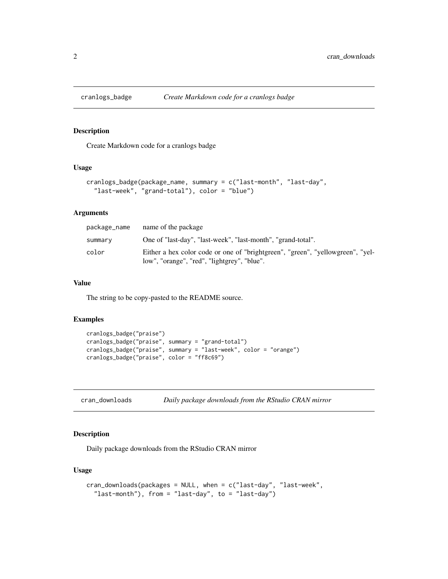<span id="page-1-0"></span>

#### Description

Create Markdown code for a cranlogs badge

#### Usage

```
cranlogs_badge(package_name, summary = c("last-month", "last-day",
  "last-week", "grand-total"), color = "blue")
```
#### Arguments

| package_name | name of the package                                                                                                           |
|--------------|-------------------------------------------------------------------------------------------------------------------------------|
| summary      | One of "last-day", "last-week", "last-month", "grand-total".                                                                  |
| color        | Either a hex color code or one of "brightgreen", "green", "yellowgreen", "yel-<br>low", "orange", "red", "lightgrey", "blue". |

#### Value

The string to be copy-pasted to the README source.

#### Examples

```
cranlogs_badge("praise")
cranlogs_badge("praise", summary = "grand-total")
cranlogs_badge("praise", summary = "last-week", color = "orange")
cranlogs_badge("praise", color = "ff8c69")
```
<span id="page-1-1"></span>cran\_downloads *Daily package downloads from the RStudio CRAN mirror*

#### Description

Daily package downloads from the RStudio CRAN mirror

#### Usage

```
cran_downloads(packages = NULL, when = c("last-day", "last-week",
  "last-month"), from = "last-day", to = "last-day")
```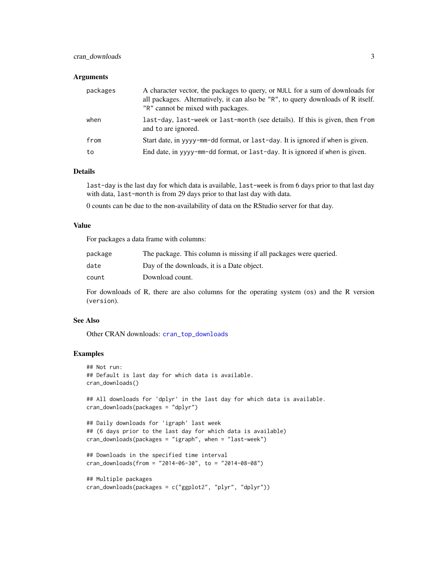#### <span id="page-2-0"></span>cran\_downloads 3

#### **Arguments**

| packages | A character vector, the packages to query, or NULL for a sum of downloads for<br>all packages. Alternatively, it can also be "R", to query downloads of R itself.<br>"R" cannot be mixed with packages. |
|----------|---------------------------------------------------------------------------------------------------------------------------------------------------------------------------------------------------------|
| when     | last-day, last-week or last-month (see details). If this is given, then from<br>and to are ignored.                                                                                                     |
| from     | Start date, in yyyy-mm-dd format, or last-day. It is ignored if when is given.                                                                                                                          |
| to       | End date, in yyyy-mm-dd format, or last-day. It is ignored if when is given.                                                                                                                            |

#### Details

last-day is the last day for which data is available, last-week is from 6 days prior to that last day with data, last-month is from 29 days prior to that last day with data.

0 counts can be due to the non-availability of data on the RStudio server for that day.

#### Value

For packages a data frame with columns:

| package | The package. This column is missing if all packages were queried. |
|---------|-------------------------------------------------------------------|
| date    | Day of the downloads, it is a Date object.                        |
| count   | Download count.                                                   |

For downloads of R, there are also columns for the operating system (os) and the R version (version).

#### See Also

Other CRAN downloads: [cran\\_top\\_downloads](#page-3-1)

#### Examples

```
## Not run:
## Default is last day for which data is available.
cran_downloads()
## All downloads for 'dplyr' in the last day for which data is available.
cran_downloads(packages = "dplyr")
## Daily downloads for 'igraph' last week
## (6 days prior to the last day for which data is available)
cran_downloads(packages = "igraph", when = "last-week")
## Downloads in the specified time interval
cran_downloads(from = "2014-06-30", to = "2014-08-08")
## Multiple packages
cran_downloads(packages = c("ggplot2", "plyr", "dplyr"))
```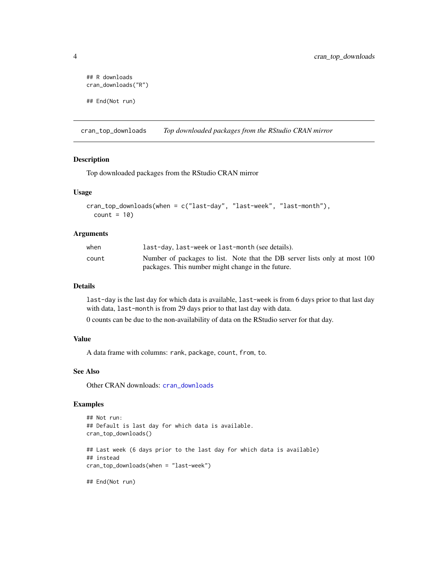```
## R downloads
cran_downloads("R")
## End(Not run)
```
<span id="page-3-1"></span>cran\_top\_downloads *Top downloaded packages from the RStudio CRAN mirror*

#### Description

Top downloaded packages from the RStudio CRAN mirror

#### Usage

```
cran_top_downloads(when = c("last-day", "last-week", "last-month"),
  count = 10
```
#### Arguments

| when  | last-day, last-week or last-month (see details).                           |
|-------|----------------------------------------------------------------------------|
| count | Number of packages to list. Note that the DB server lists only at most 100 |
|       | packages. This number might change in the future.                          |

#### Details

last-day is the last day for which data is available, last-week is from 6 days prior to that last day with data, last-month is from 29 days prior to that last day with data.

0 counts can be due to the non-availability of data on the RStudio server for that day.

#### Value

A data frame with columns: rank, package, count, from, to.

#### See Also

Other CRAN downloads: [cran\\_downloads](#page-1-1)

#### Examples

```
## Not run:
## Default is last day for which data is available.
cran_top_downloads()
## Last week (6 days prior to the last day for which data is available)
## instead
cran_top_downloads(when = "last-week")
## End(Not run)
```
<span id="page-3-0"></span>